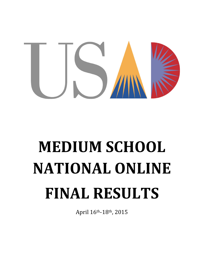

# **MEDIUM SCHOOL NATIONAL ONLINE FINAL RESULTS**

April 16th-18th, 2015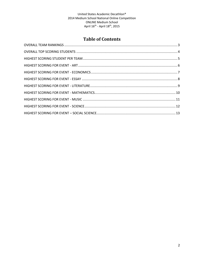# **Table of Contents**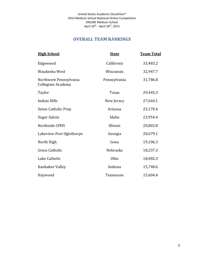# **OVERALL TEAM RANKINGS**

<span id="page-2-0"></span>

| <b>High School</b>                                  | <b>State</b> | <b>Team Total</b> |
|-----------------------------------------------------|--------------|-------------------|
| Edgewood                                            | California   | 33,483.2          |
| Waukesha West                                       | Wisconsin    | 32,947.7          |
| Northwest Pennsylvania<br><b>Collegiate Academy</b> | Pennsylvania | 31,786.8          |
| Taylor                                              | Texas        | 29,445.3          |
| Indian Hills                                        | New Jersey   | 27,644.1          |
| Seton Catholic Prep                                 | Arizona      | 25,170.4          |
| Sugar-Salem                                         | Idaho        | 23,954.4          |
| Northside CPHS                                      | Illinois     | 20,802.8          |
| Lakeview-Fort Oglethorpe                            | Georgia      | 20,679.1          |
| North High                                          | Iowa         | 19,106.3          |
| <b>Gross Catholic</b>                               | Nebraska     | 18,237.3          |
| Lake Catholic                                       | Ohio         | 18,082.3          |
| Kankakee Valley                                     | Indiana      | 15,748.6          |
| Haywood                                             | Tennessee    | 15,604.4          |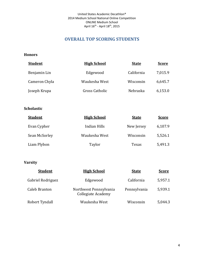# **OVERALL TOP SCORING STUDENTS**

## <span id="page-3-0"></span>**Honors**

| <b>Student</b> | <b>High School</b> | <b>State</b> | <b>Score</b> |
|----------------|--------------------|--------------|--------------|
| Benjamin Lin   | Edgewood           | California   | 7,015.9      |
| Cameron Chyla  | Waukesha West      | Wisconsin    | 6,645.7      |
| Joseph Krupa   | Gross Catholic     | Nebraska     | 6,153.0      |

## **Scholastic**

| <b>Student</b> | <b>High School</b> | <b>State</b> | <b>Score</b> |
|----------------|--------------------|--------------|--------------|
| Evan Cypher    | Indian Hills       | New Jersey   | 6,107.9      |
| Sean McSorley  | Waukesha West      | Wisconsin    | 5,526.1      |
| Liam Plybon    | Taylor             | Texas        | 5,491.3      |

| <b>Student</b>    | <b>High School</b>                           | <b>State</b> | <b>Score</b> |
|-------------------|----------------------------------------------|--------------|--------------|
| Gabriel Rodriguez | Edgewood                                     | California   | 5,957.1      |
| Caleb Branton     | Northwest Pennsylvania<br>Collegiate Academy | Pennsylvania | 5,939.1      |
| Robert Tyndall    | Waukesha West                                | Wisconsin    | 5,044.3      |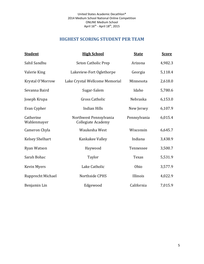# **HIGHEST SCORING STUDENT PER TEAM**

<span id="page-4-0"></span>

| <b>Student</b>           | <b>High School</b>                                  | <b>State</b> | <b>Score</b> |
|--------------------------|-----------------------------------------------------|--------------|--------------|
| Sahil Sandhu             | Seton Catholic Prep                                 | Arizona      | 4,982.3      |
| Valerie King             | Lakeview-Fort Oglethorpe                            | Georgia      | 5,118.4      |
| Krystal O'Morrow         | Lake Crystal Wellcome Memorial                      | Minnesota    | 2,618.0      |
| Sevanna Baird            | Sugar-Salem                                         | Idaho        | 5,780.6      |
| Joseph Krupa             | <b>Gross Catholic</b>                               | Nebraska     | 6,153.0      |
| Evan Cypher              | <b>Indian Hills</b>                                 | New Jersey   | 6,107.9      |
| Catherine<br>Wahlenmayer | Northwest Pennsylvania<br><b>Collegiate Academy</b> | Pennsylvania | 6,015.4      |
| Cameron Chyla            | Waukesha West                                       | Wisconsin    | 6,645.7      |
| <b>Kelsey Shelhart</b>   | Kankakee Valley                                     | Indiana      | 3,438.9      |
| Ryan Watson              | Haywood                                             | Tennessee    | 3,500.7      |
| Sarah Bohac              | Taylor                                              | Texas        | 5,531.9      |
| <b>Kevin Myers</b>       | Lake Catholic                                       | Ohio         | 3,577.9      |
| Rupprecht Michael        | Northside CPHS                                      | Illinois     | 4,022.9      |
| Benjamin Lin             | Edgewood                                            | California   | 7,015.9      |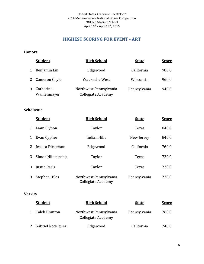# **HIGHEST SCORING FOR EVENT - ART**

## <span id="page-5-0"></span>**Honors**

|   | <b>Student</b>           | <b>High School</b>                           | <b>State</b> | <b>Score</b> |
|---|--------------------------|----------------------------------------------|--------------|--------------|
| 1 | Benjamin Lin             | Edgewood                                     | California   | 980.0        |
|   | 2 Cameron Chyla          | Waukesha West                                | Wisconsin    | 960.0        |
| 3 | Catherine<br>Wahlenmayer | Northwest Pennsylvania<br>Collegiate Academy | Pennsylvania | 940.0        |

## **Scholastic**

|   | <b>Student</b>       | <b>High School</b>                           | <b>State</b> | <b>Score</b> |
|---|----------------------|----------------------------------------------|--------------|--------------|
| 1 | Liam Plybon          | Taylor                                       | Texas        | 840.0        |
| 1 | Evan Cypher          | Indian Hills                                 | New Jersey   | 840.0        |
| 2 | Jessica Dickerson    | Edgewood                                     | California   | 760.0        |
| 3 | Simon Niiemtschk     | Taylor                                       | Texas        | 720.0        |
| 3 | Justin Paris         | Taylor                                       | Texas        | 720.0        |
| 3 | <b>Stephen Hiles</b> | Northwest Pennsylvania<br>Collegiate Academy | Pennsylvania | 720.0        |

| <b>Student</b>      | <b>High School</b>                           | <b>State</b> | <b>Score</b> |
|---------------------|----------------------------------------------|--------------|--------------|
| 1 Caleb Branton     | Northwest Pennsylvania<br>Collegiate Academy | Pennsylvania | 760.0        |
| 2 Gabriel Rodriguez | Edgewood                                     | California   | 740.0        |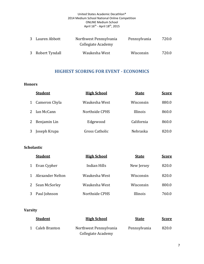| 3 Lauren Abbott  | Northwest Pennsylvania<br>Collegiate Academy | Pennsylvania | 720.0 |
|------------------|----------------------------------------------|--------------|-------|
| 3 Robert Tyndall | Waukesha West                                | Wisconsin    | 720.0 |

# **HIGHEST SCORING FOR EVENT - ECONOMICS**

## <span id="page-6-0"></span>**Honors**

|   | <b>Student</b> | <b>High School</b> | <b>State</b> | <b>Score</b> |
|---|----------------|--------------------|--------------|--------------|
| 1 | Cameron Chyla  | Waukesha West      | Wisconsin    | 880.0        |
|   | Ian McCann     | Northside CPHS     | Illinois     | 860.0        |
| 2 | Benjamin Lin   | Edgewood           | California   | 860.0        |
|   | Joseph Krupa   | Gross Catholic     | Nebraska     | 820.0        |

# **Scholastic**

|   | <b>Student</b>   | <b>High School</b> | <b>State</b> | <b>Score</b> |
|---|------------------|--------------------|--------------|--------------|
|   | Evan Cypher      | Indian Hills       | New Jersey   | 820.0        |
|   | Alexander Nelton | Waukesha West      | Wisconsin    | 820.0        |
| 2 | Sean McSorley    | Waukesha West      | Wisconsin    | 800.0        |
|   | Paul Johnson     | Northside CPHS     | Illinois     | 760.0        |

| <b>Student</b>  | <b>High School</b>     | <b>State</b> | <u>Score</u> |
|-----------------|------------------------|--------------|--------------|
| 1 Caleb Branton | Northwest Pennsylvania | Pennsylvania | 820.0        |
|                 | Collegiate Academy     |              |              |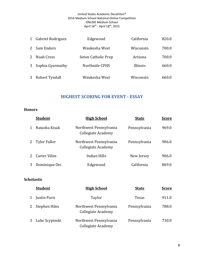| 1              | Gabriel Rodriguez | Edgewood            | California | 820.0 |
|----------------|-------------------|---------------------|------------|-------|
|                | 2 Sam Enders      | Waukesha West       | Wisconsin  | 700.0 |
| $2^{\circ}$    | Noah Cress        | Seton Catholic Prep | Arizona    | 700.0 |
| 3 <sup>1</sup> | Sophia Gyarmathy  | Northside CPHS      | Illinois   | 660.0 |
| 3              | Robert Tyndall    | Waukesha West       | Wisconsin  | 660.0 |

# **HIGHEST SCORING FOR EVENT - ESSAY**

#### <span id="page-7-0"></span>**Honors**

|   | <b>Student</b>      | <b>High School</b>                           | <b>State</b> | <b>Score</b> |
|---|---------------------|----------------------------------------------|--------------|--------------|
|   | Natasha Kisak       | Northwest Pennsylvania<br>Collegiate Academy | Pennsylvania | 969.0        |
| 2 | <b>Tyler Fuller</b> | Northwest Pennsylvania<br>Collegiate Academy | Pennsylvania | 906.0        |
|   | <b>Carter Vilim</b> | Indian Hills                                 | New Jersey   | 906.0        |
|   | Dominique Oei       | Edgewood                                     | California   | 869.0        |

## **Scholastic**

|   | <b>Student</b>   | <b>High School</b>                                  | <b>State</b> | <b>Score</b> |
|---|------------------|-----------------------------------------------------|--------------|--------------|
|   | 1 Justin Paris   | Taylor                                              | Texas        | 911.0        |
| 2 | Stephen Hiles    | Northwest Pennsylvania<br>Collegiate Academy        | Pennsylvania | 788.0        |
|   | 3 Luke Scypinski | Northwest Pennsylvania<br><b>Collegiate Academy</b> | Pennsylvania | 730.0        |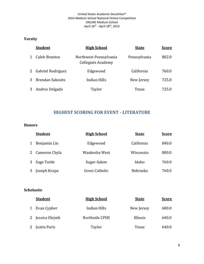# **Varsity**

|              | <b>Student</b>          | <b>High School</b>                           | <b>State</b> | <b>Score</b> |
|--------------|-------------------------|----------------------------------------------|--------------|--------------|
| $\mathbf{1}$ | Caleb Branton           | Northwest Pennsylvania<br>Collegiate Academy | Pennsylvania | 802.0        |
|              | 2 Gabriel Rodriguez     | Edgewood                                     | California   | 760.0        |
| 3            | <b>Brendan Sakosits</b> | Indian Hills                                 | New Jersey   | 725.0        |
| 3            | Andres Delgado          | Taylor                                       | Texas        | 725.0        |

# **HIGHEST SCORING FOR EVENT - LITERATURE**

## <span id="page-8-0"></span>**Honors**

|   | <b>Student</b> | <b>High School</b> | <b>State</b> | <b>Score</b> |
|---|----------------|--------------------|--------------|--------------|
|   | Benjamin Lin   | Edgewood           | California   | 840.0        |
| 2 | Cameron Chyla  | Waukesha West      | Wisconsin    | 800.0        |
|   | Sage Tuttle    | Sugar-Salem        | Idaho        | 760.0        |
|   | Joseph Krupa   | Gross Catholic     | Nebraska     | 760.0        |

# **Scholastic**

| <b>Student</b>    | <b>High School</b> | <b>State</b> | <u>Score</u> |
|-------------------|--------------------|--------------|--------------|
| 1 Evan Cypher     | Indian Hills       | New Jersey   | 680.0        |
| 2 Jessica Olejnik | Northside CPHS     | Illinois     | 640.0        |
| 2 Justin Paris    | Taylor             | Texas        | 640.0        |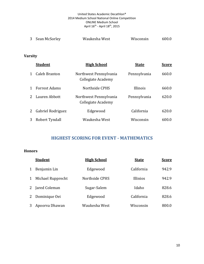| 3 Sean McSorley | Waukesha West | Wisconsin | 600.0 |
|-----------------|---------------|-----------|-------|
|                 |               |           |       |

# **Varsity**

|              | <b>Student</b>       | <b>High School</b>                           | <b>State</b> | <b>Score</b> |
|--------------|----------------------|----------------------------------------------|--------------|--------------|
| $\mathbf{1}$ | <b>Caleb Branton</b> | Northwest Pennsylvania<br>Collegiate Academy | Pennsylvania | 660.0        |
| $\mathbf{1}$ | <b>Forrest Adams</b> | Northside CPHS                               | Illinois     | 660.0        |
| 2            | Lauren Abbott        | Northwest Pennsylvania<br>Collegiate Academy | Pennsylvania | 620.0        |
| $\mathbf{2}$ | Gabriel Rodriguez    | Edgewood                                     | California   | 620.0        |
| 3            | Robert Tyndall       | Waukesha West                                | Wisconsin    | 600.0        |

# **HIGHEST SCORING FOR EVENT - MATHEMATICS**

<span id="page-9-0"></span>

|   | <b>Student</b>    | <b>High School</b> | <b>State</b>    | <u>Score</u> |
|---|-------------------|--------------------|-----------------|--------------|
| 1 | Benjamin Lin      | Edgewood           | California      | 942.9        |
| 1 | Michael Rupprecht | Northside CPHS     | <b>Illinios</b> | 942.9        |
|   | 2 Jared Coleman   | Sugar-Salem        | Idaho           | 828.6        |
|   | 2 Dominique Oei   | Edgewood           | California      | 828.6        |
| 3 | Apoorva Dhawan    | Waukesha West      | Wisconsin       | 800.0        |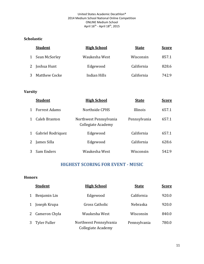## **Scholastic**

| <b>Student</b>  | <b>High School</b> | <b>State</b> | <b>Score</b> |
|-----------------|--------------------|--------------|--------------|
| 1 Sean McSorley | Waukesha West      | Wisconsin    | 857.1        |
| 2 Joshua Hunt   | Edgewood           | California   | 828.6        |
| 3 Matthew Cocke | Indian Hills       | California   | 742.9        |

# **Varsity**

|                | <b>Student</b>       | <b>High School</b>                           | <b>State</b> | <b>Score</b> |
|----------------|----------------------|----------------------------------------------|--------------|--------------|
| $\mathbf{1}$   | <b>Forrest Adams</b> | Northside CPHS                               | Illinois     | 657.1        |
| $\mathbf{1}$   | Caleb Branton        | Northwest Pennsylvania<br>Collegiate Academy | Pennsylvania | 657.1        |
| $\mathbf{1}$   | Gabriel Rodriquez    | Edgewood                                     | California   | 657.1        |
| $\mathbf{2}$   | James Silla          | Edgewood                                     | California   | 628.6        |
| 3 <sup>1</sup> | Sam Enders           | Waukesha West                                | Wisconsin    | 542.9        |

# **HIGHEST SCORING FOR EVENT - MUSIC**

<span id="page-10-0"></span>

|       | <b>Student</b>  | <b>High School</b>                                  | <b>State</b> | <b>Score</b> |
|-------|-----------------|-----------------------------------------------------|--------------|--------------|
| $1\,$ | Benjamin Lin    | Edgewood                                            | California   | 920.0        |
| 1     | Joseph Krupa    | <b>Gross Catholic</b>                               | Nebraska     | 920.0        |
|       | 2 Cameron Chyla | Waukesha West                                       | Wisconsin    | 840.0        |
|       | 3 Tyler Fuller  | Northwest Pennsylvania<br><b>Collegiate Academy</b> | Pennsylvania | 780.0        |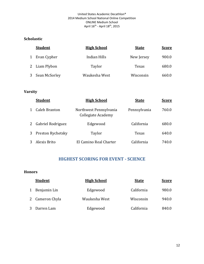## **Scholastic**

| <b>Student</b>  | <b>High School</b> | <b>State</b> | <u>Score</u> |
|-----------------|--------------------|--------------|--------------|
| 1 Evan Cypher   | Indian Hills       | New Jersey   | 900.0        |
| 2 Liam Plybon   | Taylor             | Texas        | 680.0        |
| 3 Sean McSorley | Waukesha West      | Wisconsin    | 660.0        |

# **Varsity**

|   | <b>Student</b>    | <b>High School</b>                           | <b>State</b> | <b>Score</b> |
|---|-------------------|----------------------------------------------|--------------|--------------|
|   | Caleb Branton     | Northwest Pennsylvania<br>Collegiate Academy | Pennsylvania | 760.0        |
| 2 | Gabriel Rodriguez | Edgewood                                     | California   | 680.0        |
| 3 | Preston Rychetsky | Taylor                                       | Texas        | 640.0        |
|   | Alexis Brito      | El Camino Real Charter                       | California   | 740.0        |

# **HIGHEST SCORING FOR EVENT - SCIENCE**

<span id="page-11-0"></span>

|   | <b>Student</b>  | <b>High School</b> | <b>State</b> | <b>Score</b> |
|---|-----------------|--------------------|--------------|--------------|
| 1 | Benjamin Lin    | Edgewood           | California   | 980.0        |
|   | 2 Cameron Chyla | Waukesha West      | Wisconsin    | 940.0        |
|   | 3 Darren Lam    | Edgewood           | California   | 840.0        |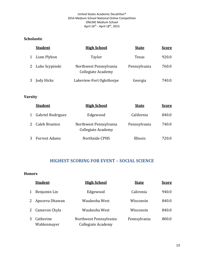## **Scholastic**

|   | <b>Student</b>   | <b>High School</b>                           | <b>State</b> | <u>Score</u> |
|---|------------------|----------------------------------------------|--------------|--------------|
| 1 | Liam Plybon      | Taylor                                       | Texas        | 920.0        |
|   | 2 Luke Scypinski | Northwest Pennsylvania<br>Collegiate Academy | Pennsylvania | 760.0        |
|   | Jody Hicks       | Lakeview-Fort Oglethorpe                     | Georgia      | 740.0        |

# **Varsity**

| <b>Student</b>      | <b>High School</b>                           | <b>State</b> | <b>Score</b> |
|---------------------|----------------------------------------------|--------------|--------------|
| 1 Gabriel Rodriguez | Edgewood                                     | California   | 840.0        |
| 2 Caleb Branton     | Northwest Pennsylvania<br>Collegiate Academy | Pennsylvania | 740.0        |
| 3 Forrest Adams     | Northside CPHS                               | Illinois     | 720.0        |

# <span id="page-12-0"></span>**HIGHEST SCORING FOR EVENT – SOCIAL SCIENCE**

|              | <b>Student</b>           | <b>High School</b>                           | <b>State</b> | <b>Score</b> |
|--------------|--------------------------|----------------------------------------------|--------------|--------------|
| $\mathbf{1}$ | Benjamin Lin             | Edgewood                                     | Calironia    | 940.0        |
|              | 2 Apoorva Dhawan         | Waukesha West                                | Wisconsin    | 840.0        |
|              | 2 Cameron Chyla          | Waukesha West                                | Wisconsin    | 840.0        |
| 3            | Catherine<br>Wahlenmayer | Northwest Pennsylvania<br>Collegiate Academy | Pennsylvania | 800.0        |